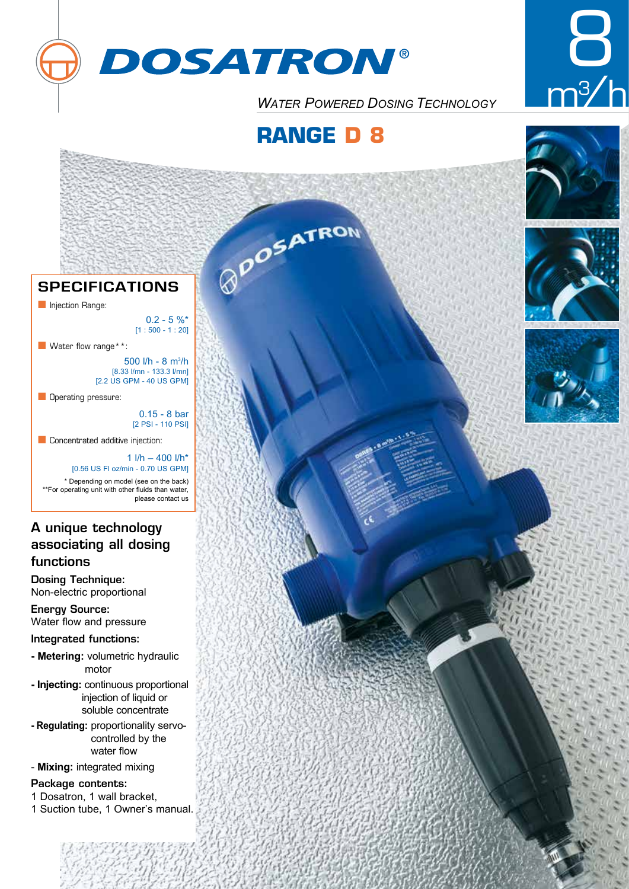



*WATER POWERED DOSING TECHNOLOGY* 

# **RANGE D 8**

**POSATRON** 









# **SPECIFICATIONS**

**n** Injection Range:

 $0.2 - 5 \%$  $[1:500 - 1:20]$ 

 $\blacksquare$  Water flow range\*\*:

500 l/h - 8 m¾/h [8.33 l/mn - 133.3 l/mn] [2.2 US GPM - 40 US GPM]

**n** Operating pressure:

0.15 - 8 bar [2 PSI - 110 PSI]

please contact us

**n** Concentrated additive injection:

1  $l/h - 400$   $l/h*$ [0.56 US Fl oz/min - 0.70 US GPM] \* Depending on model (see on the back) \*\*For operating unit with other fluids than water,

# A unique technology associating all dosing functions

Dosing Technique: Non-electric proportional

Energy Source: Water flow and pressure

Integrated functions:

- **Metering:** volumetric hydraulic motor
- **Injecting:** continuous proportional injection of liquid or soluble concentrate
- **Regulating:** proportionality servocontrolled by the water flow
- **Mixing:** integrated mixing

## Package contents:

- 1 Dosatron, 1 wall bracket,
- 1 Suction tube, 1 Owner's manual.